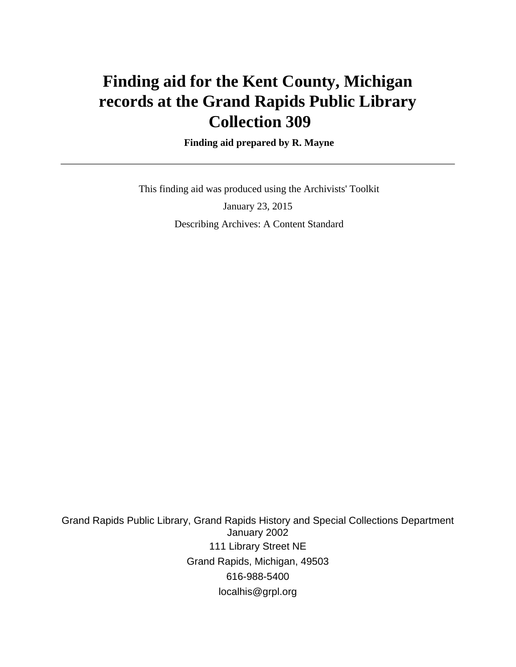# **Finding aid for the Kent County, Michigan records at the Grand Rapids Public Library Collection 309**

#### **Finding aid prepared by R. Mayne**

 This finding aid was produced using the Archivists' Toolkit January 23, 2015 Describing Archives: A Content Standard

Grand Rapids Public Library, Grand Rapids History and Special Collections Department January 2002 111 Library Street NE Grand Rapids, Michigan, 49503 616-988-5400 localhis@grpl.org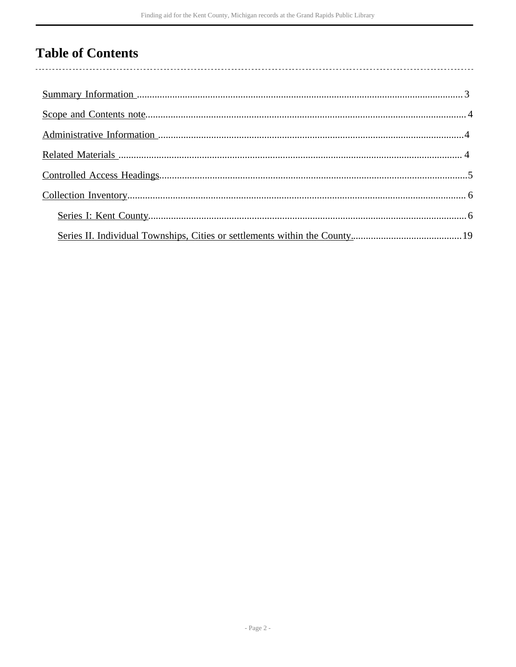## **Table of Contents**

l,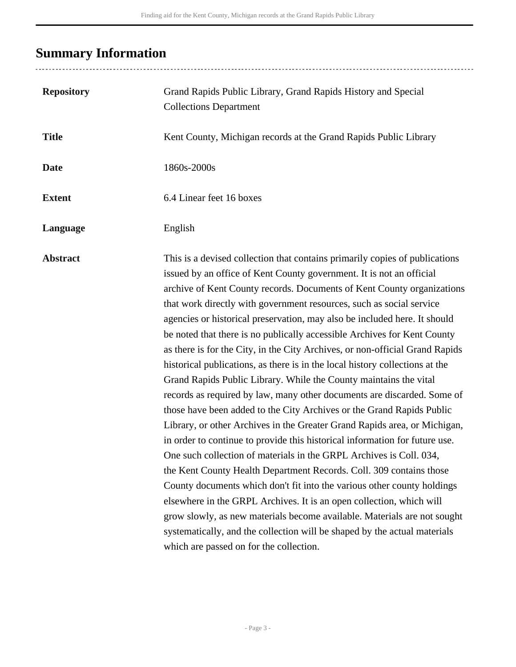## <span id="page-2-0"></span>**Summary Information**

........................

| <b>Repository</b> | Grand Rapids Public Library, Grand Rapids History and Special<br><b>Collections Department</b>                                                                                                                                                                                                                                                                                                                                                                                                                                                                                                                                                                                                                                                                                                                                                                                                                                                                                                                                                                                                                                                                                                                                                                                                                                                                                                                                                                                                                           |
|-------------------|--------------------------------------------------------------------------------------------------------------------------------------------------------------------------------------------------------------------------------------------------------------------------------------------------------------------------------------------------------------------------------------------------------------------------------------------------------------------------------------------------------------------------------------------------------------------------------------------------------------------------------------------------------------------------------------------------------------------------------------------------------------------------------------------------------------------------------------------------------------------------------------------------------------------------------------------------------------------------------------------------------------------------------------------------------------------------------------------------------------------------------------------------------------------------------------------------------------------------------------------------------------------------------------------------------------------------------------------------------------------------------------------------------------------------------------------------------------------------------------------------------------------------|
| <b>Title</b>      | Kent County, Michigan records at the Grand Rapids Public Library                                                                                                                                                                                                                                                                                                                                                                                                                                                                                                                                                                                                                                                                                                                                                                                                                                                                                                                                                                                                                                                                                                                                                                                                                                                                                                                                                                                                                                                         |
| <b>Date</b>       | 1860s-2000s                                                                                                                                                                                                                                                                                                                                                                                                                                                                                                                                                                                                                                                                                                                                                                                                                                                                                                                                                                                                                                                                                                                                                                                                                                                                                                                                                                                                                                                                                                              |
| <b>Extent</b>     | 6.4 Linear feet 16 boxes                                                                                                                                                                                                                                                                                                                                                                                                                                                                                                                                                                                                                                                                                                                                                                                                                                                                                                                                                                                                                                                                                                                                                                                                                                                                                                                                                                                                                                                                                                 |
| Language          | English                                                                                                                                                                                                                                                                                                                                                                                                                                                                                                                                                                                                                                                                                                                                                                                                                                                                                                                                                                                                                                                                                                                                                                                                                                                                                                                                                                                                                                                                                                                  |
| <b>Abstract</b>   | This is a devised collection that contains primarily copies of publications<br>issued by an office of Kent County government. It is not an official<br>archive of Kent County records. Documents of Kent County organizations<br>that work directly with government resources, such as social service<br>agencies or historical preservation, may also be included here. It should<br>be noted that there is no publically accessible Archives for Kent County<br>as there is for the City, in the City Archives, or non-official Grand Rapids<br>historical publications, as there is in the local history collections at the<br>Grand Rapids Public Library. While the County maintains the vital<br>records as required by law, many other documents are discarded. Some of<br>those have been added to the City Archives or the Grand Rapids Public<br>Library, or other Archives in the Greater Grand Rapids area, or Michigan,<br>in order to continue to provide this historical information for future use.<br>One such collection of materials in the GRPL Archives is Coll. 034,<br>the Kent County Health Department Records. Coll. 309 contains those<br>County documents which don't fit into the various other county holdings<br>elsewhere in the GRPL Archives. It is an open collection, which will<br>grow slowly, as new materials become available. Materials are not sought<br>systematically, and the collection will be shaped by the actual materials<br>which are passed on for the collection. |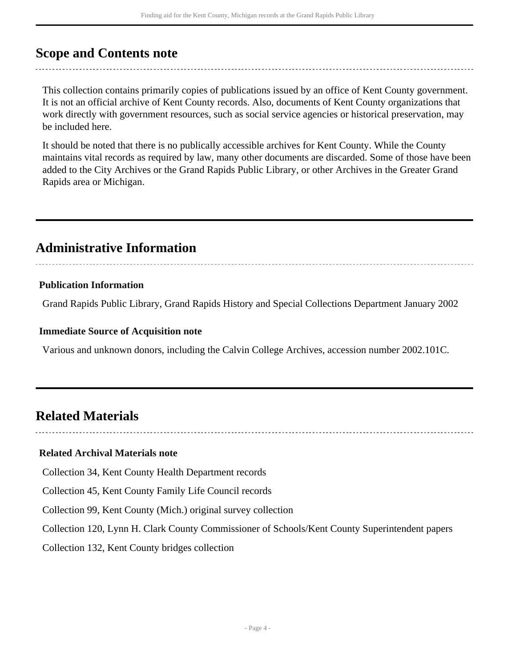### <span id="page-3-0"></span>**Scope and Contents note**

This collection contains primarily copies of publications issued by an office of Kent County government. It is not an official archive of Kent County records. Also, documents of Kent County organizations that work directly with government resources, such as social service agencies or historical preservation, may be included here.

It should be noted that there is no publically accessible archives for Kent County. While the County maintains vital records as required by law, many other documents are discarded. Some of those have been added to the City Archives or the Grand Rapids Public Library, or other Archives in the Greater Grand Rapids area or Michigan.

### <span id="page-3-1"></span>**Administrative Information**

### **Publication Information**

Grand Rapids Public Library, Grand Rapids History and Special Collections Department January 2002

### **Immediate Source of Acquisition note**

Various and unknown donors, including the Calvin College Archives, accession number 2002.101C.

### <span id="page-3-2"></span>**Related Materials**

### **Related Archival Materials note**

Collection 34, Kent County Health Department records

Collection 45, Kent County Family Life Council records

Collection 99, Kent County (Mich.) original survey collection

Collection 120, Lynn H. Clark County Commissioner of Schools/Kent County Superintendent papers

Collection 132, Kent County bridges collection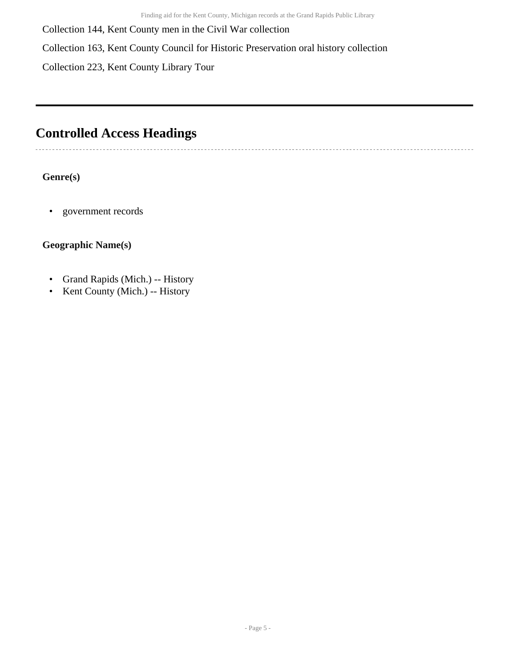Collection 144, Kent County men in the Civil War collection

Collection 163, Kent County Council for Historic Preservation oral history collection

Collection 223, Kent County Library Tour

## <span id="page-4-0"></span>**Controlled Access Headings**

### **Genre(s)**

• government records

### **Geographic Name(s)**

- Grand Rapids (Mich.) -- History
- Kent County (Mich.) -- History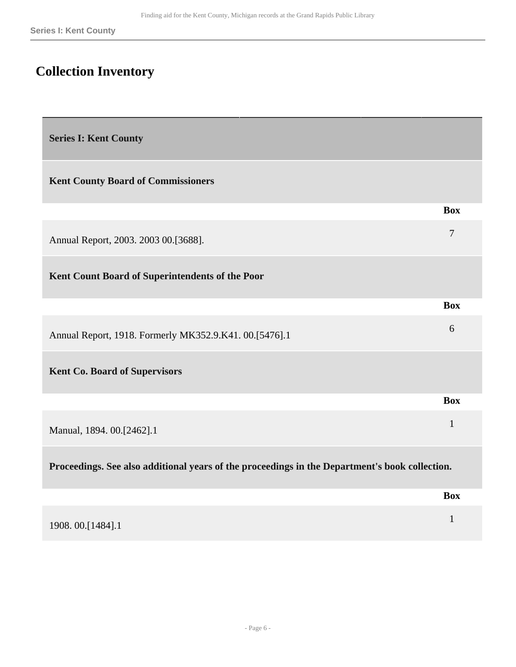**Box**

**Box**

**Box**

## <span id="page-5-0"></span>**Collection Inventory**

<span id="page-5-1"></span>**Series I: Kent County** 

**Kent County Board of Commissioners** 

| Annual Report, 2003. 2003 00. [3688]. |  |
|---------------------------------------|--|
|                                       |  |

**Kent Count Board of Superintendents of the Poor** 

| Annual Report, 1918. Formerly MK352.9.K41. 00.[5476].1 |  |
|--------------------------------------------------------|--|

**Kent Co. Board of Supervisors** 

Manual, 1894. 00.[2462].1 <sup>1</sup>

**Proceedings. See also additional years of the proceedings in the Department's book collection.** 

|                  | <b>Box</b> |
|------------------|------------|
| 1908.00.[1484].1 |            |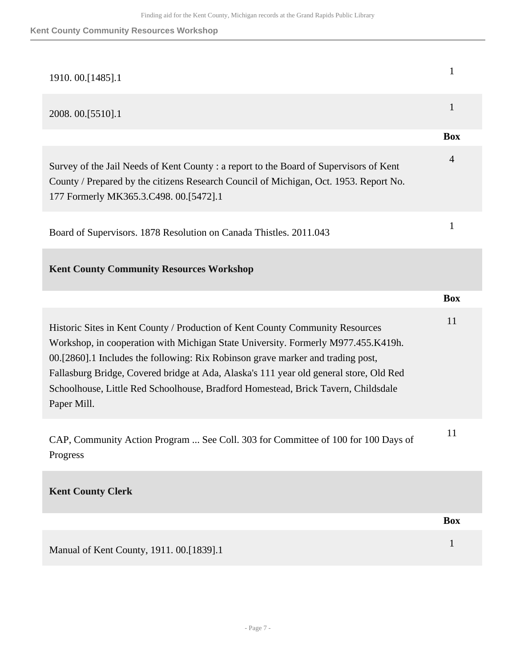| 1910.00.[1485].1                                                                                                                                                                                                                                                                                                                                                                                                                                    | $\mathbf{1}$   |
|-----------------------------------------------------------------------------------------------------------------------------------------------------------------------------------------------------------------------------------------------------------------------------------------------------------------------------------------------------------------------------------------------------------------------------------------------------|----------------|
| 2008. 00. [5510]. 1                                                                                                                                                                                                                                                                                                                                                                                                                                 | $\mathbf{1}$   |
|                                                                                                                                                                                                                                                                                                                                                                                                                                                     | <b>Box</b>     |
| Survey of the Jail Needs of Kent County : a report to the Board of Supervisors of Kent<br>County / Prepared by the citizens Research Council of Michigan, Oct. 1953. Report No.<br>177 Formerly MK365.3.C498. 00.[5472].1                                                                                                                                                                                                                           | $\overline{4}$ |
| Board of Supervisors. 1878 Resolution on Canada Thistles. 2011.043                                                                                                                                                                                                                                                                                                                                                                                  | 1              |
| <b>Kent County Community Resources Workshop</b>                                                                                                                                                                                                                                                                                                                                                                                                     |                |
|                                                                                                                                                                                                                                                                                                                                                                                                                                                     | <b>Box</b>     |
| Historic Sites in Kent County / Production of Kent County Community Resources<br>Workshop, in cooperation with Michigan State University. Formerly M977.455.K419h.<br>00.[2860].1 Includes the following: Rix Robinson grave marker and trading post,<br>Fallasburg Bridge, Covered bridge at Ada, Alaska's 111 year old general store, Old Red<br>Schoolhouse, Little Red Schoolhouse, Bradford Homestead, Brick Tavern, Childsdale<br>Paper Mill. | 11             |
| CAP, Community Action Program  See Coll. 303 for Committee of 100 for 100 Days of<br>Progress                                                                                                                                                                                                                                                                                                                                                       | 11             |
| <b>Kent County Clerk</b>                                                                                                                                                                                                                                                                                                                                                                                                                            |                |
|                                                                                                                                                                                                                                                                                                                                                                                                                                                     |                |
|                                                                                                                                                                                                                                                                                                                                                                                                                                                     | <b>Box</b>     |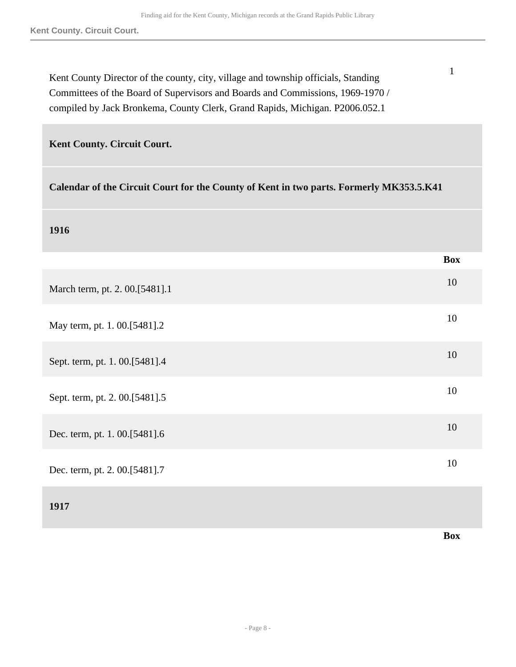| Kent County Director of the county, city, village and township officials, Standing |
|------------------------------------------------------------------------------------|
| Committees of the Board of Supervisors and Boards and Commissions, 1969-1970 /     |
| compiled by Jack Bronkema, County Clerk, Grand Rapids, Michigan. P2006.052.1       |

1

| Kent County. Circuit Court.                                                             |            |
|-----------------------------------------------------------------------------------------|------------|
| Calendar of the Circuit Court for the County of Kent in two parts. Formerly MK353.5.K41 |            |
| 1916                                                                                    |            |
|                                                                                         | <b>Box</b> |
| March term, pt. 2. 00.[5481].1                                                          | 10         |
| May term, pt. 1. 00.[5481].2                                                            | 10         |
| Sept. term, pt. 1. 00.[5481].4                                                          | 10         |
| Sept. term, pt. 2. 00.[5481].5                                                          | 10         |
| Dec. term, pt. 1. 00.[5481].6                                                           | 10         |
| Dec. term, pt. 2. 00.[5481].7                                                           | 10         |
| 1917                                                                                    |            |

**Box**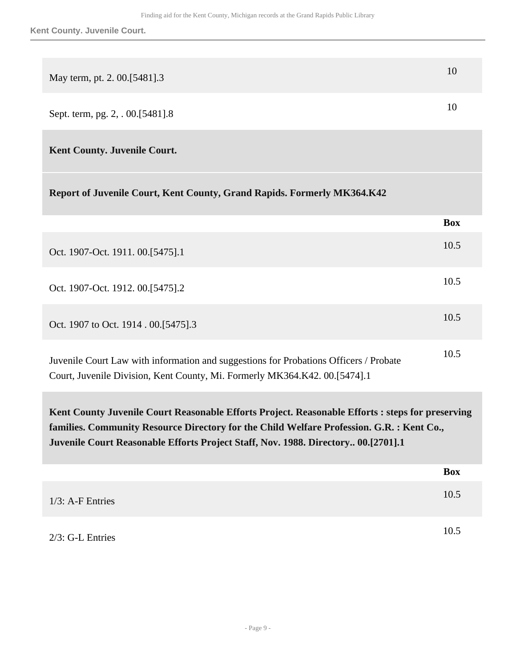**Kent County. Juvenile Court.**

| May term, pt. 2. 00.[5481].3                                                   | 10 |
|--------------------------------------------------------------------------------|----|
| Sept. term, pg. 2, . 00.[5481].8                                               | 10 |
| <b>Kent County. Juvenile Court.</b>                                            |    |
| <b>Report of Juvenile Court, Kent County, Grand Rapids. Formerly MK364.K42</b> |    |

|                                                                                                                                                                    | <b>Box</b> |
|--------------------------------------------------------------------------------------------------------------------------------------------------------------------|------------|
| Oct. 1907-Oct. 1911. 00. [5475]. 1                                                                                                                                 | 10.5       |
| Oct. 1907-Oct. 1912. 00. [5475]. 2                                                                                                                                 | 10.5       |
| Oct. 1907 to Oct. 1914 . 00. [5475] .3                                                                                                                             | 10.5       |
| Juvenile Court Law with information and suggestions for Probations Officers / Probate<br>Court, Juvenile Division, Kent County, Mi. Formerly MK364.K42.00.[5474].1 | 10.5       |

**Kent County Juvenile Court Reasonable Efforts Project. Reasonable Efforts : steps for preserving families. Community Resource Directory for the Child Welfare Profession. G.R. : Kent Co., Juvenile Court Reasonable Efforts Project Staff, Nov. 1988. Directory.. 00.[2701].1** 

|                     | <b>Box</b> |
|---------------------|------------|
| $1/3$ : A-F Entries | 10.5       |
| $2/3$ : G-L Entries | 10.5       |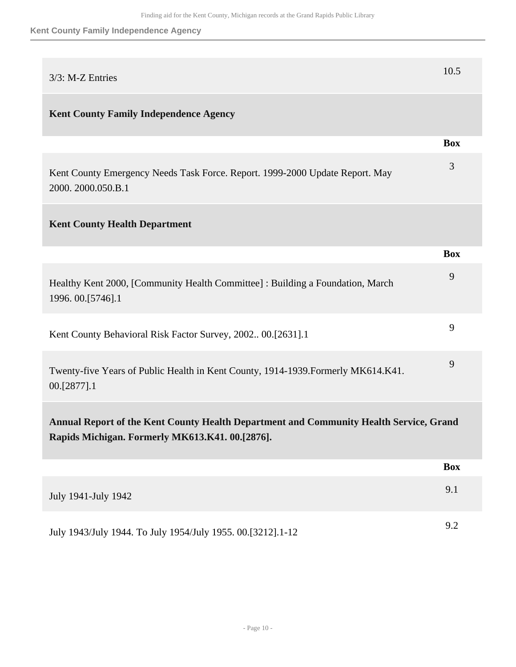### **Kent County Family Independence Agency**

| 3/3: M-Z Entries                                                                                                                          | 10.5       |
|-------------------------------------------------------------------------------------------------------------------------------------------|------------|
| <b>Kent County Family Independence Agency</b>                                                                                             |            |
|                                                                                                                                           | <b>Box</b> |
| Kent County Emergency Needs Task Force. Report. 1999-2000 Update Report. May<br>2000. 2000.050.B.1                                        | 3          |
| <b>Kent County Health Department</b>                                                                                                      |            |
|                                                                                                                                           | <b>Box</b> |
| Healthy Kent 2000, [Community Health Committee] : Building a Foundation, March<br>1996. 00. [5746]. 1                                     | 9          |
| Kent County Behavioral Risk Factor Survey, 2002 00.[2631].1                                                                               | 9          |
| Twenty-five Years of Public Health in Kent County, 1914-1939. Formerly MK614.K41.<br>00.[2877].1                                          | 9          |
| Annual Report of the Kent County Health Department and Community Health Service, Grand<br>Rapids Michigan. Formerly MK613.K41. 00.[2876]. |            |
|                                                                                                                                           | <b>Box</b> |
| July 1941-July 1942                                                                                                                       | 9.1        |
| July 1943/July 1944. To July 1954/July 1955. 00.[3212].1-12                                                                               | 9.2        |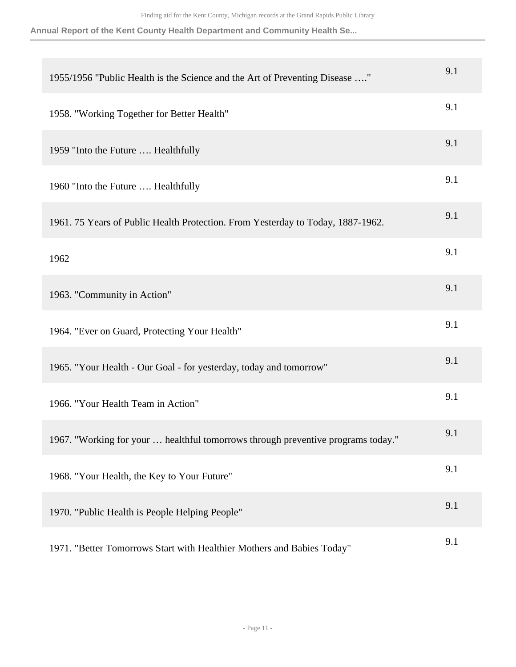**Annual Report of the Kent County Health Department and Community Health Se...**

| 1955/1956 "Public Health is the Science and the Art of Preventing Disease "      | 9.1 |
|----------------------------------------------------------------------------------|-----|
| 1958. "Working Together for Better Health"                                       | 9.1 |
| 1959 "Into the Future  Healthfully                                               | 9.1 |
| 1960 "Into the Future  Healthfully                                               | 9.1 |
| 1961. 75 Years of Public Health Protection. From Yesterday to Today, 1887-1962.  | 9.1 |
| 1962                                                                             | 9.1 |
| 1963. "Community in Action"                                                      | 9.1 |
| 1964. "Ever on Guard, Protecting Your Health"                                    | 9.1 |
| 1965. "Your Health - Our Goal - for yesterday, today and tomorrow"               | 9.1 |
| 1966. "Your Health Team in Action"                                               | 9.1 |
| 1967. "Working for your  healthful tomorrows through preventive programs today." | 9.1 |
| 1968. "Your Health, the Key to Your Future"                                      | 9.1 |
| 1970. "Public Health is People Helping People"                                   | 9.1 |
| 1971. "Better Tomorrows Start with Healthier Mothers and Babies Today"           | 9.1 |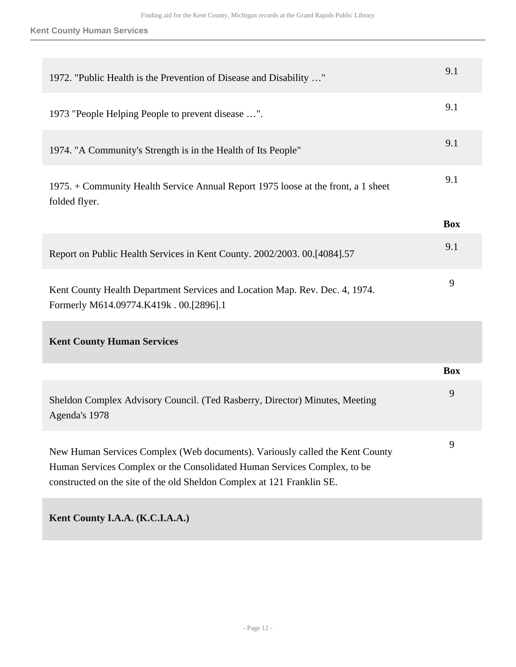| 1972. "Public Health is the Prevention of Disease and Disability "                                                                                                                                                                 | 9.1        |
|------------------------------------------------------------------------------------------------------------------------------------------------------------------------------------------------------------------------------------|------------|
| 1973 "People Helping People to prevent disease ".                                                                                                                                                                                  | 9.1        |
| 1974. "A Community's Strength is in the Health of Its People"                                                                                                                                                                      | 9.1        |
| 1975. + Community Health Service Annual Report 1975 loose at the front, a 1 sheet<br>folded flyer.                                                                                                                                 | 9.1        |
|                                                                                                                                                                                                                                    | <b>Box</b> |
| Report on Public Health Services in Kent County. 2002/2003. 00.[4084].57                                                                                                                                                           | 9.1        |
| Kent County Health Department Services and Location Map. Rev. Dec. 4, 1974.<br>Formerly M614.09774.K419k . 00.[2896].1                                                                                                             | 9          |
| <b>Kent County Human Services</b>                                                                                                                                                                                                  |            |
|                                                                                                                                                                                                                                    | <b>Box</b> |
| Sheldon Complex Advisory Council. (Ted Rasberry, Director) Minutes, Meeting<br>Agenda's 1978                                                                                                                                       | 9          |
| New Human Services Complex (Web documents). Variously called the Kent County<br>Human Services Complex or the Consolidated Human Services Complex, to be<br>constructed on the site of the old Sheldon Complex at 121 Franklin SE. | 9          |
|                                                                                                                                                                                                                                    |            |

**Kent County I.A.A. (K.C.I.A.A.)**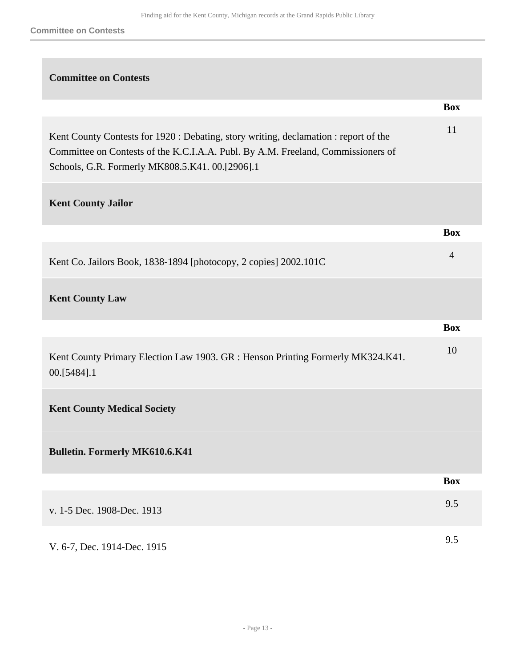| <b>Committee on Contests</b>                                                                                                                                                                                                |                |
|-----------------------------------------------------------------------------------------------------------------------------------------------------------------------------------------------------------------------------|----------------|
|                                                                                                                                                                                                                             | <b>Box</b>     |
| Kent County Contests for 1920 : Debating, story writing, declamation : report of the<br>Committee on Contests of the K.C.I.A.A. Publ. By A.M. Freeland, Commissioners of<br>Schools, G.R. Formerly MK808.5.K41. 00.[2906].1 | 11             |
| <b>Kent County Jailor</b>                                                                                                                                                                                                   |                |
|                                                                                                                                                                                                                             | <b>Box</b>     |
| Kent Co. Jailors Book, 1838-1894 [photocopy, 2 copies] 2002.101C                                                                                                                                                            | $\overline{4}$ |
| <b>Kent County Law</b>                                                                                                                                                                                                      |                |
|                                                                                                                                                                                                                             | <b>Box</b>     |
| Kent County Primary Election Law 1903. GR : Henson Printing Formerly MK324.K41.<br>00.[5484].1                                                                                                                              | 10             |
| <b>Kent County Medical Society</b>                                                                                                                                                                                          |                |
| <b>Bulletin. Formerly MK610.6.K41</b>                                                                                                                                                                                       |                |
|                                                                                                                                                                                                                             | <b>Box</b>     |
| v. 1-5 Dec. 1908-Dec. 1913                                                                                                                                                                                                  | 9.5            |
| V. 6-7, Dec. 1914-Dec. 1915                                                                                                                                                                                                 | 9.5            |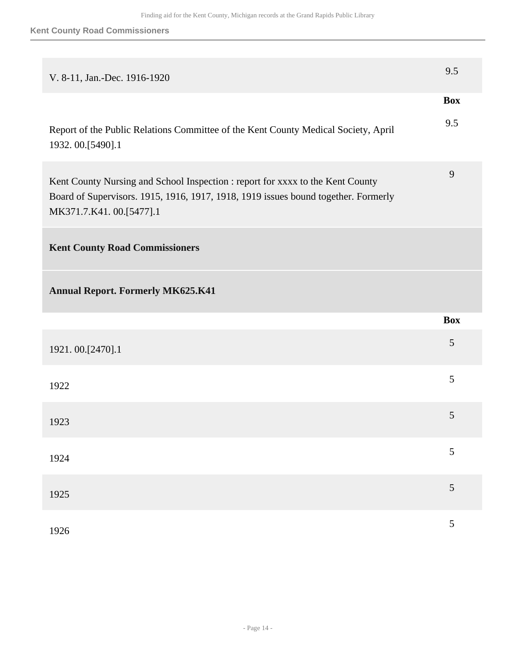| V. 8-11, Jan.-Dec. 1916-1920                                                                                                                                                                    | 9.5            |
|-------------------------------------------------------------------------------------------------------------------------------------------------------------------------------------------------|----------------|
|                                                                                                                                                                                                 | <b>Box</b>     |
| Report of the Public Relations Committee of the Kent County Medical Society, April<br>1932. 00.[5490].1                                                                                         | 9.5            |
| Kent County Nursing and School Inspection : report for xxxx to the Kent County<br>Board of Supervisors. 1915, 1916, 1917, 1918, 1919 issues bound together. Formerly<br>MK371.7.K41.00.[5477].1 | 9              |
| <b>Kent County Road Commissioners</b>                                                                                                                                                           |                |
| <b>Annual Report. Formerly MK625.K41</b>                                                                                                                                                        |                |
|                                                                                                                                                                                                 | <b>Box</b>     |
| 1921.00.[2470].1                                                                                                                                                                                | 5              |
| 1922                                                                                                                                                                                            | 5              |
| 1923                                                                                                                                                                                            | 5              |
| 1924                                                                                                                                                                                            | $\mathfrak{S}$ |
| 1925                                                                                                                                                                                            | $\mathfrak{S}$ |
|                                                                                                                                                                                                 | 5              |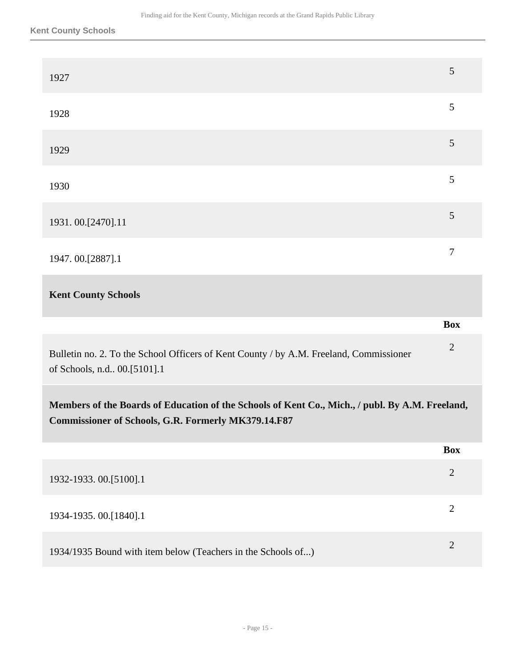| 1927                                                                                                                                                          | 5              |
|---------------------------------------------------------------------------------------------------------------------------------------------------------------|----------------|
| 1928                                                                                                                                                          | 5              |
| 1929                                                                                                                                                          | 5              |
| 1930                                                                                                                                                          | 5              |
| 1931.00.[2470].11                                                                                                                                             | $\mathfrak{S}$ |
| 1947.00.[2887].1                                                                                                                                              | $\tau$         |
| <b>Kent County Schools</b>                                                                                                                                    |                |
|                                                                                                                                                               |                |
|                                                                                                                                                               | <b>Box</b>     |
| Bulletin no. 2. To the School Officers of Kent County / by A.M. Freeland, Commissioner<br>of Schools, n.d., 00.[5101].1                                       | $\overline{2}$ |
| Members of the Boards of Education of the Schools of Kent Co., Mich., / publ. By A.M. Freeland,<br><b>Commissioner of Schools, G.R. Formerly MK379.14.F87</b> |                |
|                                                                                                                                                               | <b>Box</b>     |
| 1932-1933. 00.[5100].1                                                                                                                                        | $\overline{2}$ |
| 1934-1935. 00.[1840].1                                                                                                                                        | $\overline{2}$ |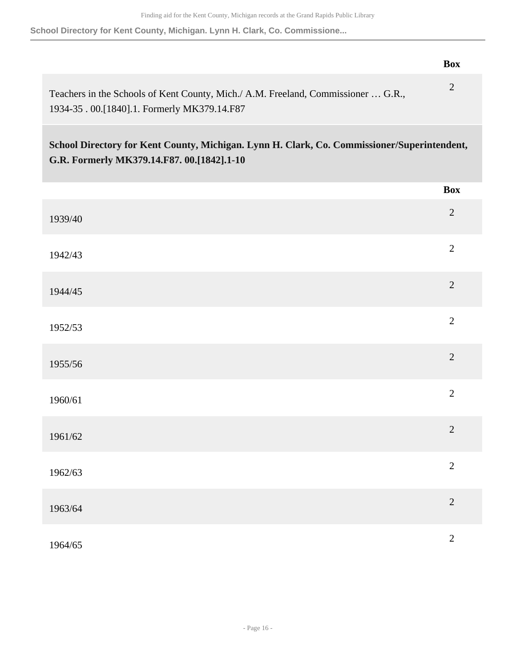**School Directory for Kent County, Michigan. Lynn H. Clark, Co. Commissione...**

|                                                                                                                                 | Box |
|---------------------------------------------------------------------------------------------------------------------------------|-----|
| Teachers in the Schools of Kent County, Mich./ A.M. Freeland, Commissioner  G.R.,<br>1934-35.00.[1840].1. Formerly MK379.14.F87 |     |

**School Directory for Kent County, Michigan. Lynn H. Clark, Co. Commissioner/Superintendent, G.R. Formerly MK379.14.F87. 00.[1842].1-10** 

|         | <b>Box</b>     |
|---------|----------------|
| 1939/40 | $\sqrt{2}$     |
| 1942/43 | $\overline{c}$ |
| 1944/45 | $\overline{2}$ |
| 1952/53 | $\overline{2}$ |
| 1955/56 | $\overline{2}$ |
| 1960/61 | $\overline{2}$ |
| 1961/62 | $\overline{c}$ |
| 1962/63 | $\overline{2}$ |
| 1963/64 | $\overline{2}$ |
| 1964/65 | $\overline{c}$ |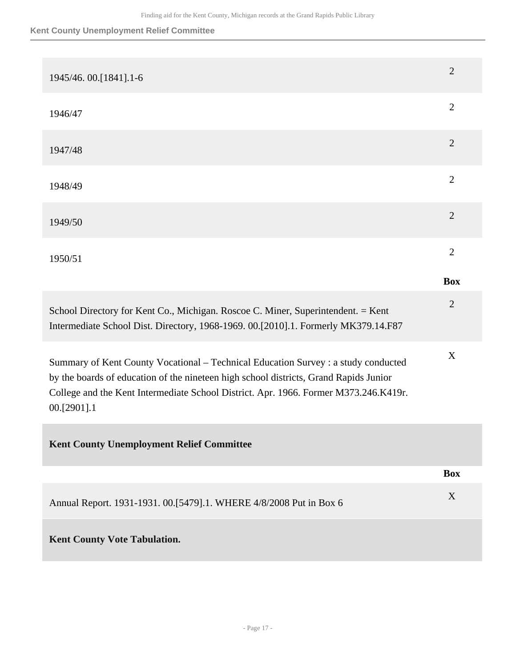### **Kent County Unemployment Relief Committee**

| 1945/46. 00.[1841].1-6                                                                                                                                                                                                                                                             | $\overline{2}$ |
|------------------------------------------------------------------------------------------------------------------------------------------------------------------------------------------------------------------------------------------------------------------------------------|----------------|
| 1946/47                                                                                                                                                                                                                                                                            | $\overline{2}$ |
| 1947/48                                                                                                                                                                                                                                                                            | $\overline{2}$ |
| 1948/49                                                                                                                                                                                                                                                                            | $\overline{2}$ |
| 1949/50                                                                                                                                                                                                                                                                            | $\overline{2}$ |
| 1950/51                                                                                                                                                                                                                                                                            | $\overline{2}$ |
|                                                                                                                                                                                                                                                                                    | <b>Box</b>     |
| School Directory for Kent Co., Michigan. Roscoe C. Miner, Superintendent. = Kent<br>Intermediate School Dist. Directory, 1968-1969. 00.[2010].1. Formerly MK379.14.F87                                                                                                             | $\overline{2}$ |
| Summary of Kent County Vocational - Technical Education Survey : a study conducted<br>by the boards of education of the nineteen high school districts, Grand Rapids Junior<br>College and the Kent Intermediate School District. Apr. 1966. Former M373.246.K419r.<br>00.[2901].1 | X              |
| <b>Kent County Unemployment Relief Committee</b>                                                                                                                                                                                                                                   |                |
|                                                                                                                                                                                                                                                                                    | <b>Box</b>     |
| Annual Report. 1931-1931. 00. [5479]. 1. WHERE 4/8/2008 Put in Box 6                                                                                                                                                                                                               | X              |
| <b>Kent County Vote Tabulation.</b>                                                                                                                                                                                                                                                |                |
|                                                                                                                                                                                                                                                                                    |                |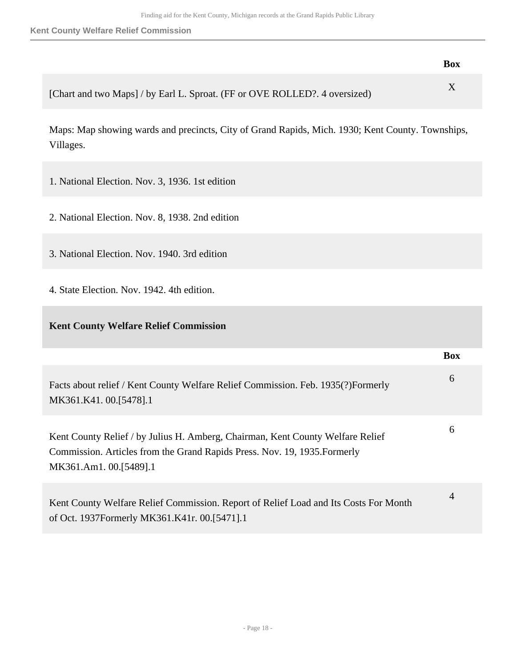**Kent County Welfare Relief Commission**

|                                                                            | <b>Box</b> |
|----------------------------------------------------------------------------|------------|
| [Chart and two Maps] / by Earl L. Sproat. (FF or OVE ROLLED?. 4 oversized) |            |

Maps: Map showing wards and precincts, City of Grand Rapids, Mich. 1930; Kent County. Townships, Villages.

- 1. National Election. Nov. 3, 1936. 1st edition
- 2. National Election. Nov. 8, 1938. 2nd edition
- 3. National Election. Nov. 1940. 3rd edition
- 4. State Election. Nov. 1942. 4th edition.

### **Kent County Welfare Relief Commission**

|                                                                                                                                                                                       | <b>Box</b>     |
|---------------------------------------------------------------------------------------------------------------------------------------------------------------------------------------|----------------|
| Facts about relief / Kent County Welfare Relief Commission. Feb. 1935(?)Formerly<br>MK361.K41.00.[5478].1                                                                             | 6              |
| Kent County Relief / by Julius H. Amberg, Chairman, Kent County Welfare Relief<br>Commission. Articles from the Grand Rapids Press. Nov. 19, 1935. Formerly<br>MK361.Am1. 00.[5489].1 | 6              |
| Kent County Welfare Relief Commission. Report of Relief Load and Its Costs For Month<br>of Oct. 1937Formerly MK361.K41r. 00.[5471].1                                                  | $\overline{4}$ |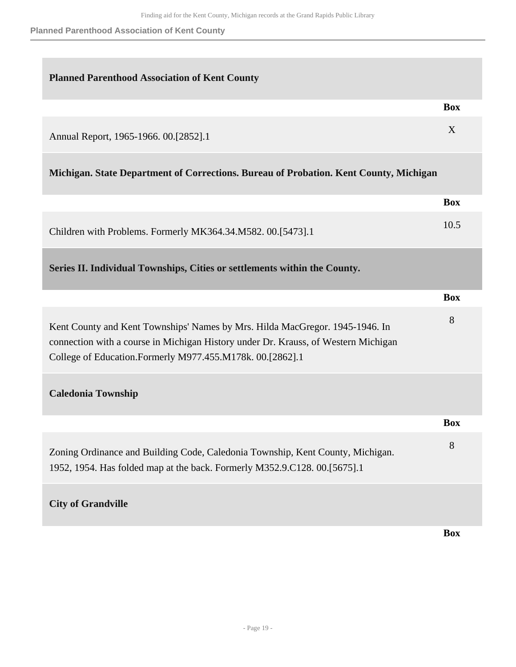**Planned Parenthood Association of Kent County**

<span id="page-18-0"></span>

| <b>Planned Parenthood Association of Kent County</b>                                                                                                                                                                            |            |
|---------------------------------------------------------------------------------------------------------------------------------------------------------------------------------------------------------------------------------|------------|
|                                                                                                                                                                                                                                 | <b>Box</b> |
| Annual Report, 1965-1966. 00.[2852].1                                                                                                                                                                                           | X          |
| Michigan. State Department of Corrections. Bureau of Probation. Kent County, Michigan                                                                                                                                           |            |
|                                                                                                                                                                                                                                 | <b>Box</b> |
| Children with Problems. Formerly MK364.34.M582. 00.[5473].1                                                                                                                                                                     | 10.5       |
| Series II. Individual Townships, Cities or settlements within the County.                                                                                                                                                       |            |
|                                                                                                                                                                                                                                 | <b>Box</b> |
| Kent County and Kent Townships' Names by Mrs. Hilda MacGregor. 1945-1946. In<br>connection with a course in Michigan History under Dr. Krauss, of Western Michigan<br>College of Education.Formerly M977.455.M178k. 00.[2862].1 | 8          |
| <b>Caledonia Township</b>                                                                                                                                                                                                       |            |
|                                                                                                                                                                                                                                 | <b>Box</b> |
| Zoning Ordinance and Building Code, Caledonia Township, Kent County, Michigan.<br>1952, 1954. Has folded map at the back. Formerly M352.9.C128. 00.[5675].1                                                                     | 8          |
| <b>City of Grandville</b>                                                                                                                                                                                                       |            |
|                                                                                                                                                                                                                                 | <b>Box</b> |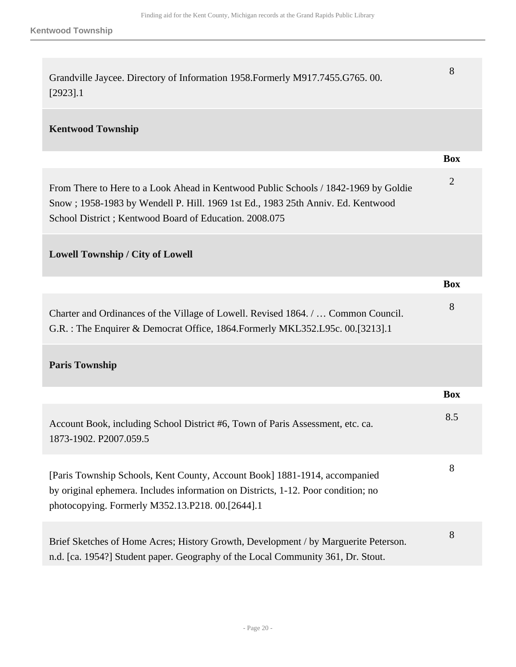| Grandville Jaycee. Directory of Information 1958. Formerly M917.7455. G765. 00.<br>$[2923]$ .1                                                                                                                                   | 8              |
|----------------------------------------------------------------------------------------------------------------------------------------------------------------------------------------------------------------------------------|----------------|
| <b>Kentwood Township</b>                                                                                                                                                                                                         |                |
|                                                                                                                                                                                                                                  | <b>Box</b>     |
| From There to Here to a Look Ahead in Kentwood Public Schools / 1842-1969 by Goldie<br>Snow; 1958-1983 by Wendell P. Hill. 1969 1st Ed., 1983 25th Anniv. Ed. Kentwood<br>School District; Kentwood Board of Education. 2008.075 | $\overline{2}$ |
| <b>Lowell Township / City of Lowell</b>                                                                                                                                                                                          |                |
|                                                                                                                                                                                                                                  | <b>Box</b>     |
| Charter and Ordinances of the Village of Lowell. Revised 1864. /  Common Council.<br>G.R.: The Enquirer & Democrat Office, 1864. Formerly MKL352. L95c. 00. [3213]. 1                                                            | 8              |
| <b>Paris Township</b>                                                                                                                                                                                                            |                |
|                                                                                                                                                                                                                                  | <b>Box</b>     |
| Account Book, including School District #6, Town of Paris Assessment, etc. ca.<br>1873-1902. P2007.059.5                                                                                                                         | 8.5            |
| [Paris Township Schools, Kent County, Account Book] 1881-1914, accompanied<br>by original ephemera. Includes information on Districts, 1-12. Poor condition; no<br>photocopying. Formerly M352.13.P218. 00.[2644].1              | 8              |
| Brief Sketches of Home Acres; History Growth, Development / by Marguerite Peterson.<br>n.d. [ca. 1954?] Student paper. Geography of the Local Community 361, Dr. Stout.                                                          | 8              |